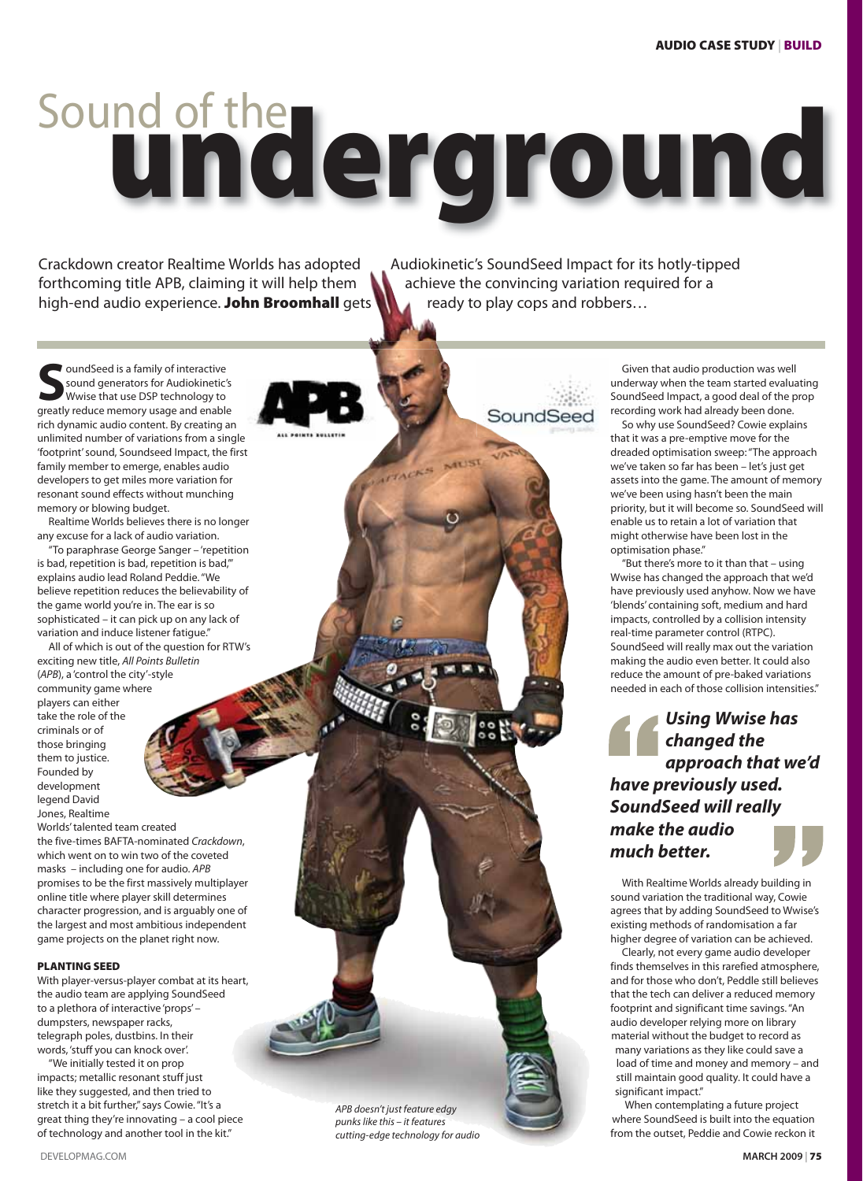## **underground** Sound of the

MUS

AFFACKS

Crackdown creator Realtime Worlds has adopted Audiokinetic's SoundSeed Impact for its hotly-tipped forthcoming title APB, claiming it will help them  $\Box$  achieve the convincing variation required for a high-end audio experience. **John Broomhall** gets **ready to play cops and robbers...** 

SoundSeed

**J**oundSeed is a family of interactive sound generators for Audiokinetic's Wwise that use DSP technology to greatly reduce memory usage and enable rich dynamic audio content. By creating an unlimited number of variations from a single 'footprint' sound, Soundseed Impact, the first family member to emerge, enables audio developers to get miles more variation for resonant sound effects without munching memory or blowing budget.

Realtime Worlds believes there is no longer any excuse for a lack of audio variation.

"To paraphrase George Sanger – 'repetition is bad, repetition is bad, repetition is bad,'" explains audio lead Roland Peddie. "We believe repetition reduces the believability of the game world you're in. The ear is so sophisticated – it can pick up on any lack of variation and induce listener fatigue."

All of which is out of the question for RTW's exciting new title, All Points Bulletin (APB), a 'control the city'-style community game where players can either take the role of the criminals or of those bringing them to justice. Founded by development legend David

Worlds' talented team created the five-times BAFTA-nominated Crackdown, which went on to win two of the coveted masks – including one for audio. APB promises to be the first massively multiplayer online title where player skill determines character progression, and is arguably one of the largest and most ambitious independent game projects on the planet right now.

## **PLANTING SEED**

Jones, Realtime

With player-versus-player combat at its heart, the audio team are applying SoundSeed to a plethora of interactive 'props' – dumpsters, newspaper racks, telegraph poles, dustbins. In their words, 'stuff you can knock over'.

"We initially tested it on prop impacts; metallic resonant stuff just like they suggested, and then tried to stretch it a bit further," says Cowie. "It's a great thing they're innovating – a cool piece of technology and another tool in the kit."

APB doesn't just feature edgy punks like this – it features cutting-edge technology for audio

Given that audio production was well underway when the team started evaluating SoundSeed Impact, a good deal of the prop recording work had already been done.

So why use SoundSeed? Cowie explains that it was a pre-emptive move for the dreaded optimisation sweep: "The approach we've taken so far has been – let's just get assets into the game. The amount of memory we've been using hasn't been the main priority, but it will become so. SoundSeed will enable us to retain a lot of variation that might otherwise have been lost in the optimisation phase."

"But there's more to it than that – using Wwise has changed the approach that we'd have previously used anyhow. Now we have 'blends' containing soft, medium and hard impacts, controlled by a collision intensity real-time parameter control (RTPC). SoundSeed will really max out the variation making the audio even better. It could also reduce the amount of pre-baked variations needed in each of those collision intensities."

*Using Wwise has changed the approach that we'd have previously used. SoundSeed will really make the audio much better.*

With Realtime Worlds already building in sound variation the traditional way, Cowie agrees that by adding SoundSeed to Wwise's existing methods of randomisation a far higher degree of variation can be achieved.

Clearly, not every game audio developer finds themselves in this rarefied atmosphere, and for those who don't, Peddle still believes that the tech can deliver a reduced memory footprint and significant time savings. "An audio developer relying more on library material without the budget to record as many variations as they like could save a load of time and money and memory – and still maintain good quality. It could have a significant impact."

When contemplating a future project where SoundSeed is built into the equation from the outset, Peddie and Cowie reckon it